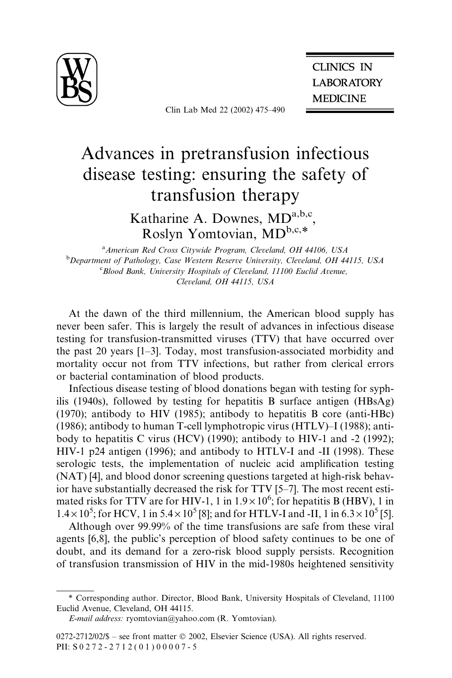

Clin Lab Med 22 (2002) 475–490

**CLINICS IN LABORATORY MEDICINE** 

# Advances in pretransfusion infectious disease testing: ensuring the safety of transfusion therapy

Katharine A. Downes, MDa,b,c, Roslyn Yomtovian, MDb,c,\*

<sup>a</sup> American Red Cross Citywide Program, Cleveland, OH 44106, USA <sup>b</sup>Department of Pathology, Case Western Reserve University, Cleveland, OH 44115, USA <sup>c</sup> Blood Bank, University Hospitals of Cleveland, 11100 Euclid Avenue, Cleveland, OH 44115, USA

At the dawn of the third millennium, the American blood supply has never been safer. This is largely the result of advances in infectious disease testing for transfusion-transmitted viruses (TTV) that have occurred over the past 20 years [1–3]. Today, most transfusion-associated morbidity and mortality occur not from TTV infections, but rather from clerical errors or bacterial contamination of blood products.

Infectious disease testing of blood donations began with testing for syphilis (1940s), followed by testing for hepatitis B surface antigen (HBsAg) (1970); antibody to HIV (1985); antibody to hepatitis B core (anti-HBc) (1986); antibody to human T-cell lymphotropic virus (HTLV)–I (1988); antibody to hepatitis C virus (HCV) (1990); antibody to HIV-1 and -2 (1992); HIV-1 p24 antigen (1996); and antibody to HTLV-I and -II (1998). These serologic tests, the implementation of nucleic acid amplification testing (NAT) [4], and blood donor screening questions targeted at high-risk behavior have substantially decreased the risk for TTV [5–7]. The most recent estimated risks for TTV are for HIV-1, 1 in  $1.9 \times 10^6$ ; for hepatitis B (HBV), 1 in  $1.4 \times 10^5$ ; for HCV, 1 in 5.4  $\times 10^5$  [8]; and for HTLV-I and -II, 1 in 6.3  $\times 10^5$  [5].

Although over 99.99% of the time transfusions are safe from these viral agents [6,8], the public's perception of blood safety continues to be one of doubt, and its demand for a zero-risk blood supply persists. Recognition of transfusion transmission of HIV in the mid-1980s heightened sensitivity

<sup>\*</sup> Corresponding author. Director, Blood Bank, University Hospitals of Cleveland, 11100 Euclid Avenue, Cleveland, OH 44115.

E-mail address: ryomtovian@yahoo.com (R. Yomtovian).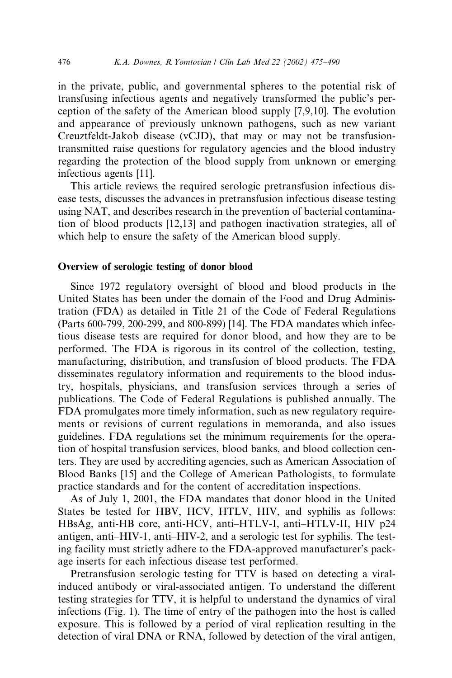in the private, public, and governmental spheres to the potential risk of transfusing infectious agents and negatively transformed the public's perception of the safety of the American blood supply [7,9,10]. The evolution and appearance of previously unknown pathogens, such as new variant Creuztfeldt-Jakob disease (vCJD), that may or may not be transfusiontransmitted raise questions for regulatory agencies and the blood industry regarding the protection of the blood supply from unknown or emerging infectious agents [11].

This article reviews the required serologic pretransfusion infectious disease tests, discusses the advances in pretransfusion infectious disease testing using NAT, and describes research in the prevention of bacterial contamination of blood products [12,13] and pathogen inactivation strategies, all of which help to ensure the safety of the American blood supply.

#### Overview of serologic testing of donor blood

Since 1972 regulatory oversight of blood and blood products in the United States has been under the domain of the Food and Drug Administration (FDA) as detailed in Title 21 of the Code of Federal Regulations (Parts 600-799, 200-299, and 800-899) [14]. The FDA mandates which infectious disease tests are required for donor blood, and how they are to be performed. The FDA is rigorous in its control of the collection, testing, manufacturing, distribution, and transfusion of blood products. The FDA disseminates regulatory information and requirements to the blood industry, hospitals, physicians, and transfusion services through a series of publications. The Code of Federal Regulations is published annually. The FDA promulgates more timely information, such as new regulatory requirements or revisions of current regulations in memoranda, and also issues guidelines. FDA regulations set the minimum requirements for the operation of hospital transfusion services, blood banks, and blood collection centers. They are used by accrediting agencies, such as American Association of Blood Banks [15] and the College of American Pathologists, to formulate practice standards and for the content of accreditation inspections.

As of July 1, 2001, the FDA mandates that donor blood in the United States be tested for HBV, HCV, HTLV, HIV, and syphilis as follows: HBsAg, anti-HB core, anti-HCV, anti–HTLV-I, anti–HTLV-II, HIV p24 antigen, anti–HIV-1, anti–HIV-2, and a serologic test for syphilis. The testing facility must strictly adhere to the FDA-approved manufacturer's package inserts for each infectious disease test performed.

Pretransfusion serologic testing for TTV is based on detecting a viralinduced antibody or viral-associated antigen. To understand the different testing strategies for TTV, it is helpful to understand the dynamics of viral infections (Fig. 1). The time of entry of the pathogen into the host is called exposure. This is followed by a period of viral replication resulting in the detection of viral DNA or RNA, followed by detection of the viral antigen,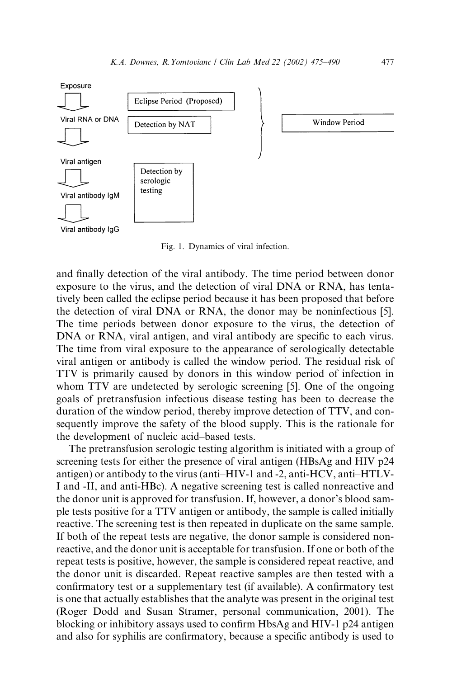

Fig. 1. Dynamics of viral infection.

and finally detection of the viral antibody. The time period between donor exposure to the virus, and the detection of viral DNA or RNA, has tentatively been called the eclipse period because it has been proposed that before the detection of viral DNA or RNA, the donor may be noninfectious [5]. The time periods between donor exposure to the virus, the detection of DNA or RNA, viral antigen, and viral antibody are specific to each virus. The time from viral exposure to the appearance of serologically detectable viral antigen or antibody is called the window period. The residual risk of TTV is primarily caused by donors in this window period of infection in whom TTV are undetected by serologic screening [5]. One of the ongoing goals of pretransfusion infectious disease testing has been to decrease the duration of the window period, thereby improve detection of TTV, and consequently improve the safety of the blood supply. This is the rationale for the development of nucleic acid–based tests.

The pretransfusion serologic testing algorithm is initiated with a group of screening tests for either the presence of viral antigen (HBsAg and HIV p24 antigen) or antibody to the virus (anti–HIV-1 and -2, anti-HCV, anti–HTLV-I and -II, and anti-HBc). A negative screening test is called nonreactive and the donor unit is approved for transfusion. If, however, a donor's blood sample tests positive for a TTV antigen or antibody, the sample is called initially reactive. The screening test is then repeated in duplicate on the same sample. If both of the repeat tests are negative, the donor sample is considered nonreactive, and the donor unit is acceptable for transfusion. If one or both of the repeat tests is positive, however, the sample is considered repeat reactive, and the donor unit is discarded. Repeat reactive samples are then tested with a confirmatory test or a supplementary test (if available). A confirmatory test is one that actually establishes that the analyte was present in the original test (Roger Dodd and Susan Stramer, personal communication, 2001). The blocking or inhibitory assays used to confirm HbsAg and HIV-1 p24 antigen and also for syphilis are confirmatory, because a specific antibody is used to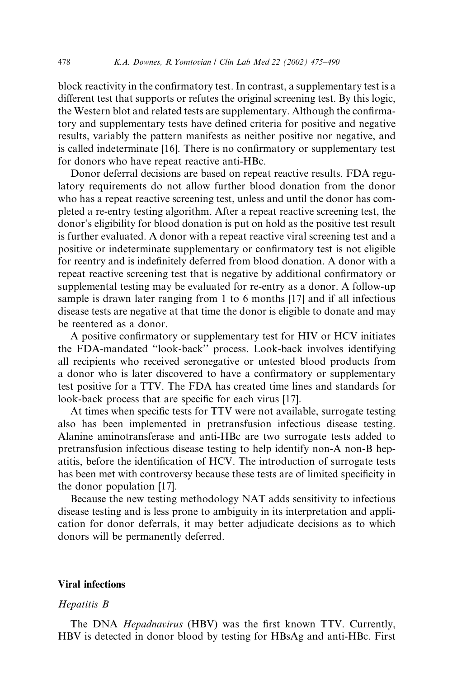block reactivity in the confirmatory test. In contrast, a supplementary test is a different test that supports or refutes the original screening test. By this logic, the Western blot and related tests are supplementary. Although the confirmatory and supplementary tests have defined criteria for positive and negative results, variably the pattern manifests as neither positive nor negative, and is called indeterminate [16]. There is no confirmatory or supplementary test for donors who have repeat reactive anti-HBc.

Donor deferral decisions are based on repeat reactive results. FDA regulatory requirements do not allow further blood donation from the donor who has a repeat reactive screening test, unless and until the donor has completed a re-entry testing algorithm. After a repeat reactive screening test, the donor's eligibility for blood donation is put on hold as the positive test result is further evaluated. A donor with a repeat reactive viral screening test and a positive or indeterminate supplementary or confirmatory test is not eligible for reentry and is indefinitely deferred from blood donation. A donor with a repeat reactive screening test that is negative by additional confirmatory or supplemental testing may be evaluated for re-entry as a donor. A follow-up sample is drawn later ranging from 1 to 6 months [17] and if all infectious disease tests are negative at that time the donor is eligible to donate and may be reentered as a donor.

A positive confirmatory or supplementary test for HIV or HCV initiates the FDA-mandated ''look-back'' process. Look-back involves identifying all recipients who received seronegative or untested blood products from a donor who is later discovered to have a confirmatory or supplementary test positive for a TTV. The FDA has created time lines and standards for look-back process that are specific for each virus [17].

At times when specific tests for TTV were not available, surrogate testing also has been implemented in pretransfusion infectious disease testing. Alanine aminotransferase and anti-HBc are two surrogate tests added to pretransfusion infectious disease testing to help identify non-A non-B hepatitis, before the identification of HCV. The introduction of surrogate tests has been met with controversy because these tests are of limited specificity in the donor population [17].

Because the new testing methodology NAT adds sensitivity to infectious disease testing and is less prone to ambiguity in its interpretation and application for donor deferrals, it may better adjudicate decisions as to which donors will be permanently deferred.

# Viral infections

#### Hepatitis B

The DNA *Hepadnavirus* (HBV) was the first known TTV. Currently, HBV is detected in donor blood by testing for HBsAg and anti-HBc. First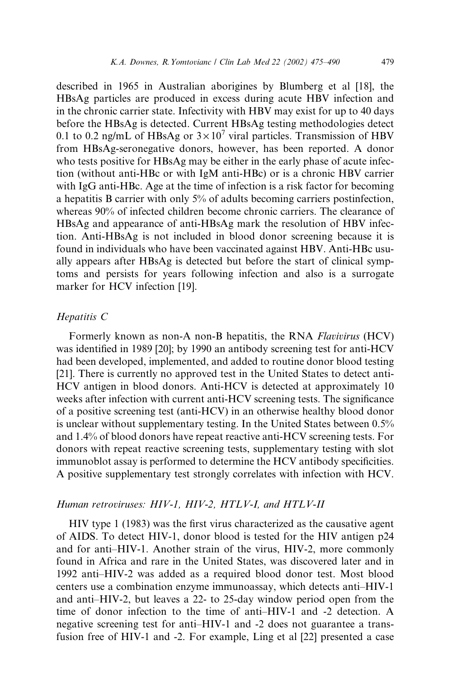described in 1965 in Australian aborigines by Blumberg et al [18], the HBsAg particles are produced in excess during acute HBV infection and in the chronic carrier state. Infectivity with HBV may exist for up to 40 days before the HBsAg is detected. Current HBsAg testing methodologies detect 0.1 to 0.2 ng/mL of HBsAg or  $3 \times 10^7$  viral particles. Transmission of HBV from HBsAg-seronegative donors, however, has been reported. A donor who tests positive for HBsAg may be either in the early phase of acute infection (without anti-HBc or with IgM anti-HBc) or is a chronic HBV carrier with IgG anti-HBc. Age at the time of infection is a risk factor for becoming a hepatitis B carrier with only 5% of adults becoming carriers postinfection, whereas 90% of infected children become chronic carriers. The clearance of HBsAg and appearance of anti-HBsAg mark the resolution of HBV infection. Anti-HBsAg is not included in blood donor screening because it is found in individuals who have been vaccinated against HBV. Anti-HBc usually appears after HBsAg is detected but before the start of clinical symptoms and persists for years following infection and also is a surrogate marker for HCV infection [19].

# Hepatitis C

Formerly known as non-A non-B hepatitis, the RNA Flavivirus (HCV) was identified in 1989 [20]; by 1990 an antibody screening test for anti-HCV had been developed, implemented, and added to routine donor blood testing [21]. There is currently no approved test in the United States to detect anti-HCV antigen in blood donors. Anti-HCV is detected at approximately 10 weeks after infection with current anti-HCV screening tests. The significance of a positive screening test (anti-HCV) in an otherwise healthy blood donor is unclear without supplementary testing. In the United States between 0.5% and 1.4% of blood donors have repeat reactive anti-HCV screening tests. For donors with repeat reactive screening tests, supplementary testing with slot immunoblot assay is performed to determine the HCV antibody specificities. A positive supplementary test strongly correlates with infection with HCV.

## Human retroviruses: HIV-1, HIV-2, HTLV-I, and HTLV-II

HIV type 1 (1983) was the first virus characterized as the causative agent of AIDS. To detect HIV-1, donor blood is tested for the HIV antigen p24 and for anti–HIV-1. Another strain of the virus, HIV-2, more commonly found in Africa and rare in the United States, was discovered later and in 1992 anti–HIV-2 was added as a required blood donor test. Most blood centers use a combination enzyme immunoassay, which detects anti–HIV-1 and anti–HIV-2, but leaves a 22- to 25-day window period open from the time of donor infection to the time of anti–HIV-1 and -2 detection. A negative screening test for anti–HIV-1 and -2 does not guarantee a transfusion free of HIV-1 and -2. For example, Ling et al [22] presented a case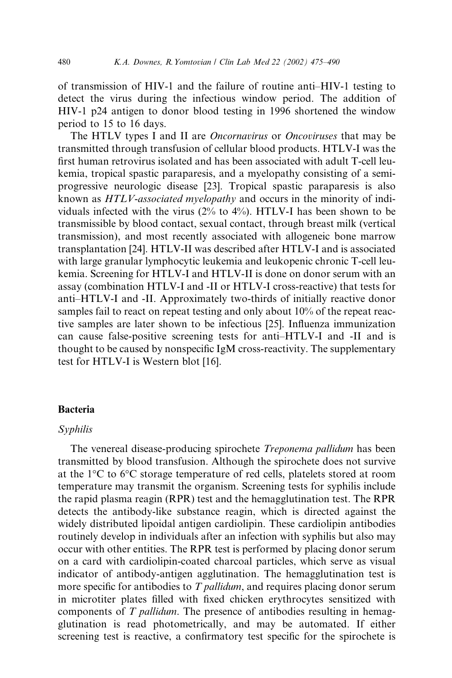of transmission of HIV-1 and the failure of routine anti–HIV-1 testing to detect the virus during the infectious window period. The addition of HIV-1 p24 antigen to donor blood testing in 1996 shortened the window period to 15 to 16 days.

The HTLV types I and II are *Oncornavirus* or *Oncoviruses* that may be transmitted through transfusion of cellular blood products. HTLV-I was the first human retrovirus isolated and has been associated with adult T-cell leukemia, tropical spastic paraparesis, and a myelopathy consisting of a semiprogressive neurologic disease [23]. Tropical spastic paraparesis is also known as HTLV-associated myelopathy and occurs in the minority of individuals infected with the virus (2% to 4%). HTLV-I has been shown to be transmissible by blood contact, sexual contact, through breast milk (vertical transmission), and most recently associated with allogeneic bone marrow transplantation [24]. HTLV-II was described after HTLV-I and is associated with large granular lymphocytic leukemia and leukopenic chronic T-cell leukemia. Screening for HTLV-I and HTLV-II is done on donor serum with an assay (combination HTLV-I and -II or HTLV-I cross-reactive) that tests for anti–HTLV-I and -II. Approximately two-thirds of initially reactive donor samples fail to react on repeat testing and only about 10% of the repeat reactive samples are later shown to be infectious [25]. Influenza immunization can cause false-positive screening tests for anti–HTLV-I and -II and is thought to be caused by nonspecific IgM cross-reactivity. The supplementary test for HTLV-I is Western blot [16].

## Bacteria

#### Syphilis

The venereal disease-producing spirochete Treponema pallidum has been transmitted by blood transfusion. Although the spirochete does not survive at the  $1^{\circ}$ C to  $6^{\circ}$ C storage temperature of red cells, platelets stored at room temperature may transmit the organism. Screening tests for syphilis include the rapid plasma reagin (RPR) test and the hemagglutination test. The RPR detects the antibody-like substance reagin, which is directed against the widely distributed lipoidal antigen cardiolipin. These cardiolipin antibodies routinely develop in individuals after an infection with syphilis but also may occur with other entities. The RPR test is performed by placing donor serum on a card with cardiolipin-coated charcoal particles, which serve as visual indicator of antibody-antigen agglutination. The hemagglutination test is more specific for antibodies to T *pallidum*, and requires placing donor serum in microtiter plates filled with fixed chicken erythrocytes sensitized with components of T pallidum. The presence of antibodies resulting in hemagglutination is read photometrically, and may be automated. If either screening test is reactive, a confirmatory test specific for the spirochete is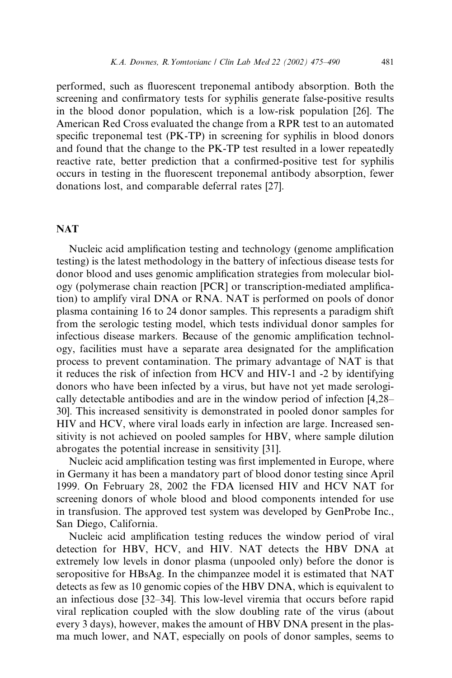performed, such as fluorescent treponemal antibody absorption. Both the screening and confirmatory tests for syphilis generate false-positive results in the blood donor population, which is a low-risk population [26]. The American Red Cross evaluated the change from a RPR test to an automated specific treponemal test (PK-TP) in screening for syphilis in blood donors and found that the change to the PK-TP test resulted in a lower repeatedly reactive rate, better prediction that a confirmed-positive test for syphilis occurs in testing in the fluorescent treponemal antibody absorption, fewer donations lost, and comparable deferral rates [27].

## **NAT**

Nucleic acid amplification testing and technology (genome amplification testing) is the latest methodology in the battery of infectious disease tests for donor blood and uses genomic amplification strategies from molecular biology (polymerase chain reaction [PCR] or transcription-mediated amplification) to amplify viral DNA or RNA. NAT is performed on pools of donor plasma containing 16 to 24 donor samples. This represents a paradigm shift from the serologic testing model, which tests individual donor samples for infectious disease markers. Because of the genomic amplification technology, facilities must have a separate area designated for the amplification process to prevent contamination. The primary advantage of NAT is that it reduces the risk of infection from HCV and HIV-1 and -2 by identifying donors who have been infected by a virus, but have not yet made serologically detectable antibodies and are in the window period of infection [4,28– 30]. This increased sensitivity is demonstrated in pooled donor samples for HIV and HCV, where viral loads early in infection are large. Increased sensitivity is not achieved on pooled samples for HBV, where sample dilution abrogates the potential increase in sensitivity [31].

Nucleic acid amplification testing was first implemented in Europe, where in Germany it has been a mandatory part of blood donor testing since April 1999. On February 28, 2002 the FDA licensed HIV and HCV NAT for screening donors of whole blood and blood components intended for use in transfusion. The approved test system was developed by GenProbe Inc., San Diego, California.

Nucleic acid amplification testing reduces the window period of viral detection for HBV, HCV, and HIV. NAT detects the HBV DNA at extremely low levels in donor plasma (unpooled only) before the donor is seropositive for HBsAg. In the chimpanzee model it is estimated that NAT detects as few as 10 genomic copies of the HBV DNA, which is equivalent to an infectious dose [32–34]. This low-level viremia that occurs before rapid viral replication coupled with the slow doubling rate of the virus (about every 3 days), however, makes the amount of HBV DNA present in the plasma much lower, and NAT, especially on pools of donor samples, seems to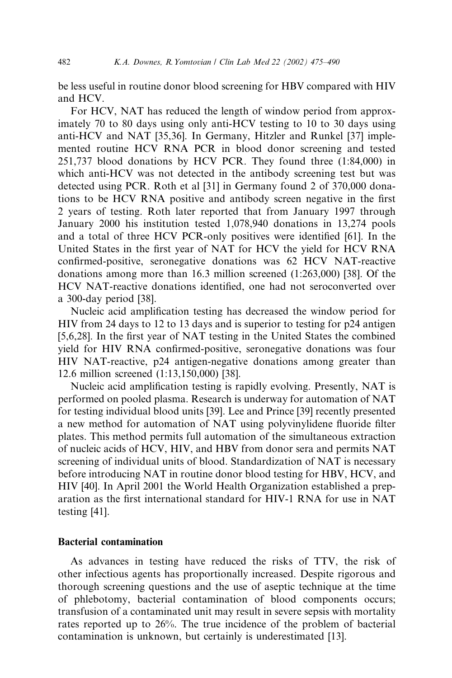be less useful in routine donor blood screening for HBV compared with HIV and HCV.

For HCV, NAT has reduced the length of window period from approximately 70 to 80 days using only anti-HCV testing to 10 to 30 days using anti-HCV and NAT [35,36]. In Germany, Hitzler and Runkel [37] implemented routine HCV RNA PCR in blood donor screening and tested 251,737 blood donations by HCV PCR. They found three (1:84,000) in which anti-HCV was not detected in the antibody screening test but was detected using PCR. Roth et al [31] in Germany found 2 of 370,000 donations to be HCV RNA positive and antibody screen negative in the first 2 years of testing. Roth later reported that from January 1997 through January 2000 his institution tested 1,078,940 donations in 13,274 pools and a total of three HCV PCR-only positives were identified [61]. In the United States in the first year of NAT for HCV the yield for HCV RNA confirmed-positive, seronegative donations was 62 HCV NAT-reactive donations among more than 16.3 million screened (1:263,000) [38]. Of the HCV NAT-reactive donations identified, one had not seroconverted over a 300-day period [38].

Nucleic acid amplification testing has decreased the window period for HIV from 24 days to 12 to 13 days and is superior to testing for p24 antigen [5,6,28]. In the first year of NAT testing in the United States the combined yield for HIV RNA confirmed-positive, seronegative donations was four HIV NAT-reactive, p24 antigen-negative donations among greater than 12.6 million screened (1:13,150,000) [38].

Nucleic acid amplification testing is rapidly evolving. Presently, NAT is performed on pooled plasma. Research is underway for automation of NAT for testing individual blood units [39]. Lee and Prince [39] recently presented a new method for automation of NAT using polyvinylidene fluoride filter plates. This method permits full automation of the simultaneous extraction of nucleic acids of HCV, HIV, and HBV from donor sera and permits NAT screening of individual units of blood. Standardization of NAT is necessary before introducing NAT in routine donor blood testing for HBV, HCV, and HIV [40]. In April 2001 the World Health Organization established a preparation as the first international standard for HIV-1 RNA for use in NAT testing [41].

# Bacterial contamination

As advances in testing have reduced the risks of TTV, the risk of other infectious agents has proportionally increased. Despite rigorous and thorough screening questions and the use of aseptic technique at the time of phlebotomy, bacterial contamination of blood components occurs; transfusion of a contaminated unit may result in severe sepsis with mortality rates reported up to 26%. The true incidence of the problem of bacterial contamination is unknown, but certainly is underestimated [13].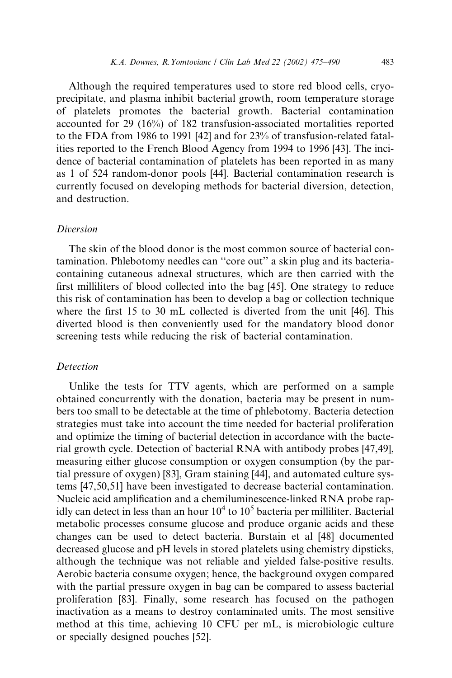Although the required temperatures used to store red blood cells, cryoprecipitate, and plasma inhibit bacterial growth, room temperature storage of platelets promotes the bacterial growth. Bacterial contamination accounted for 29 (16%) of 182 transfusion-associated mortalities reported to the FDA from 1986 to 1991 [42] and for 23% of transfusion-related fatalities reported to the French Blood Agency from 1994 to 1996 [43]. The incidence of bacterial contamination of platelets has been reported in as many as 1 of 524 random-donor pools [44]. Bacterial contamination research is currently focused on developing methods for bacterial diversion, detection, and destruction.

## Diversion

The skin of the blood donor is the most common source of bacterial contamination. Phlebotomy needles can ''core out'' a skin plug and its bacteriacontaining cutaneous adnexal structures, which are then carried with the first milliliters of blood collected into the bag [45]. One strategy to reduce this risk of contamination has been to develop a bag or collection technique where the first 15 to 30 mL collected is diverted from the unit [46]. This diverted blood is then conveniently used for the mandatory blood donor screening tests while reducing the risk of bacterial contamination.

## **Detection**

Unlike the tests for TTV agents, which are performed on a sample obtained concurrently with the donation, bacteria may be present in numbers too small to be detectable at the time of phlebotomy. Bacteria detection strategies must take into account the time needed for bacterial proliferation and optimize the timing of bacterial detection in accordance with the bacterial growth cycle. Detection of bacterial RNA with antibody probes [47,49], measuring either glucose consumption or oxygen consumption (by the partial pressure of oxygen) [83], Gram staining [44], and automated culture systems [47,50,51] have been investigated to decrease bacterial contamination. Nucleic acid amplification and a chemiluminescence-linked RNA probe rapidly can detect in less than an hour  $10^4$  to  $10^5$  bacteria per milliliter. Bacterial metabolic processes consume glucose and produce organic acids and these changes can be used to detect bacteria. Burstain et al [48] documented decreased glucose and pH levels in stored platelets using chemistry dipsticks, although the technique was not reliable and yielded false-positive results. Aerobic bacteria consume oxygen; hence, the background oxygen compared with the partial pressure oxygen in bag can be compared to assess bacterial proliferation [83]. Finally, some research has focused on the pathogen inactivation as a means to destroy contaminated units. The most sensitive method at this time, achieving 10 CFU per mL, is microbiologic culture or specially designed pouches [52].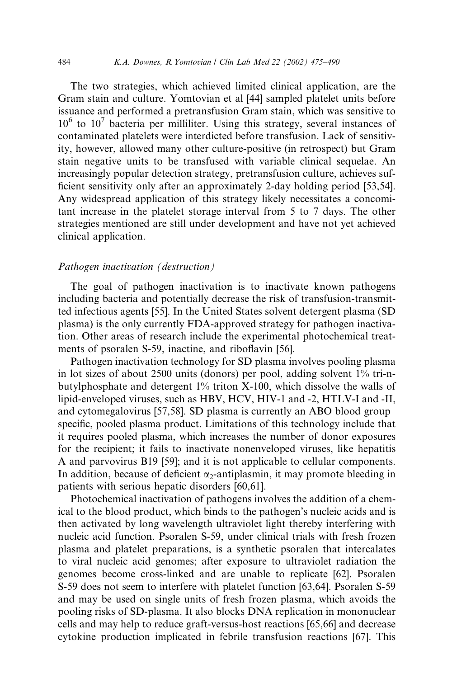The two strategies, which achieved limited clinical application, are the Gram stain and culture. Yomtovian et al [44] sampled platelet units before issuance and performed a pretransfusion Gram stain, which was sensitive to  $10^6$  to  $10^7$  bacteria per milliliter. Using this strategy, several instances of contaminated platelets were interdicted before transfusion. Lack of sensitivity, however, allowed many other culture-positive (in retrospect) but Gram stain–negative units to be transfused with variable clinical sequelae. An increasingly popular detection strategy, pretransfusion culture, achieves sufficient sensitivity only after an approximately 2-day holding period [53,54]. Any widespread application of this strategy likely necessitates a concomitant increase in the platelet storage interval from 5 to 7 days. The other strategies mentioned are still under development and have not yet achieved clinical application.

#### Pathogen inactivation (destruction)

The goal of pathogen inactivation is to inactivate known pathogens including bacteria and potentially decrease the risk of transfusion-transmitted infectious agents [55]. In the United States solvent detergent plasma (SD plasma) is the only currently FDA-approved strategy for pathogen inactivation. Other areas of research include the experimental photochemical treatments of psoralen S-59, inactine, and riboflavin [56].

Pathogen inactivation technology for SD plasma involves pooling plasma in lot sizes of about 2500 units (donors) per pool, adding solvent 1% tri-nbutylphosphate and detergent  $1\%$  triton X-100, which dissolve the walls of lipid-enveloped viruses, such as HBV, HCV, HIV-1 and -2, HTLV-I and -II, and cytomegalovirus [57,58]. SD plasma is currently an ABO blood group– specific, pooled plasma product. Limitations of this technology include that it requires pooled plasma, which increases the number of donor exposures for the recipient; it fails to inactivate nonenveloped viruses, like hepatitis A and parvovirus B19 [59]; and it is not applicable to cellular components. In addition, because of deficient  $\alpha_2$ -antiplasmin, it may promote bleeding in patients with serious hepatic disorders [60,61].

Photochemical inactivation of pathogens involves the addition of a chemical to the blood product, which binds to the pathogen's nucleic acids and is then activated by long wavelength ultraviolet light thereby interfering with nucleic acid function. Psoralen S-59, under clinical trials with fresh frozen plasma and platelet preparations, is a synthetic psoralen that intercalates to viral nucleic acid genomes; after exposure to ultraviolet radiation the genomes become cross-linked and are unable to replicate [62]. Psoralen S-59 does not seem to interfere with platelet function [63,64]. Psoralen S-59 and may be used on single units of fresh frozen plasma, which avoids the pooling risks of SD-plasma. It also blocks DNA replication in mononuclear cells and may help to reduce graft-versus-host reactions [65,66] and decrease cytokine production implicated in febrile transfusion reactions [67]. This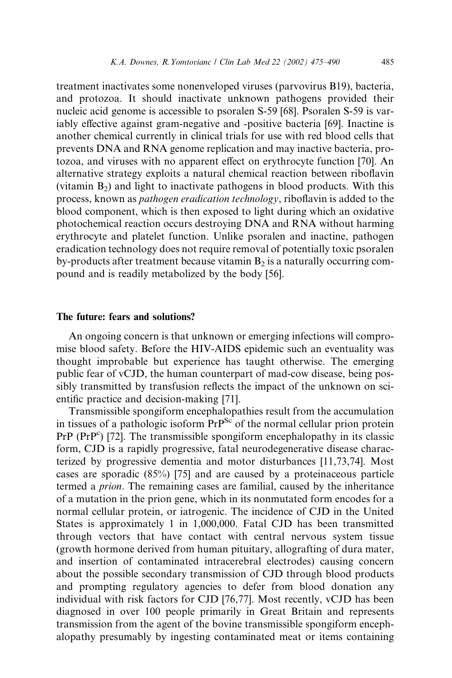treatment inactivates some nonenveloped viruses (parvovirus B19), bacteria, and protozoa. It should inactivate unknown pathogens provided their nucleic acid genome is accessible to psoralen S-59 [68]. Psoralen S-59 is variably effective against gram-negative and -positive bacteria [69]. Inactine is another chemical currently in clinical trials for use with red blood cells that prevents DNA and RNA genome replication and may inactive bacteria, protozoa, and viruses with no apparent effect on erythrocyte function [70]. An alternative strategy exploits a natural chemical reaction between riboflavin (vitamin  $B_2$ ) and light to inactivate pathogens in blood products. With this process, known as pathogen eradication technology, riboflavin is added to the blood component, which is then exposed to light during which an oxidative photochemical reaction occurs destroying DNA and RNA without harming erythrocyte and platelet function. Unlike psoralen and inactine, pathogen eradication technology does not require removal of potentially toxic psoralen by-products after treatment because vitamin  $B_2$  is a naturally occurring compound and is readily metabolized by the body [56].

## The future: fears and solutions?

An ongoing concern is that unknown or emerging infections will compromise blood safety. Before the HIV-AIDS epidemic such an eventuality was thought improbable but experience has taught otherwise. The emerging public fear of vCJD, the human counterpart of mad-cow disease, being possibly transmitted by transfusion reflects the impact of the unknown on scientific practice and decision-making [71].

Transmissible spongiform encephalopathies result from the accumulation in tissues of a pathologic isoform  $Pr^{Sc}$  of the normal cellular prion protein  $PrP (PrP<sup>c</sup>)$  [72]. The transmissible spongiform encephalopathy in its classic form, CJD is a rapidly progressive, fatal neurodegenerative disease characterized by progressive dementia and motor disturbances [11,73,74]. Most cases are sporadic (85%) [75] and are caused by a proteinaceous particle termed a prion. The remaining cases are familial, caused by the inheritance of a mutation in the prion gene, which in its nonmutated form encodes for a normal cellular protein, or iatrogenic. The incidence of CJD in the United States is approximately 1 in 1,000,000. Fatal CJD has been transmitted through vectors that have contact with central nervous system tissue (growth hormone derived from human pituitary, allografting of dura mater, and insertion of contaminated intracerebral electrodes) causing concern about the possible secondary transmission of CJD through blood products and prompting regulatory agencies to defer from blood donation any individual with risk factors for CJD [76,77]. Most recently, vCJD has been diagnosed in over 100 people primarily in Great Britain and represents transmission from the agent of the bovine transmissible spongiform encephalopathy presumably by ingesting contaminated meat or items containing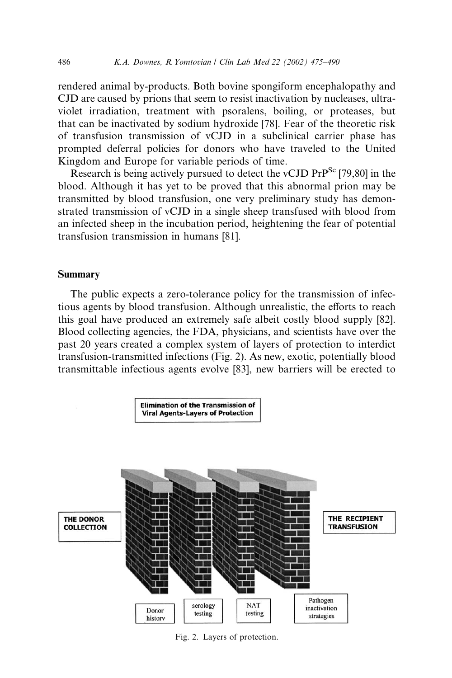rendered animal by-products. Both bovine spongiform encephalopathy and CJD are caused by prions that seem to resist inactivation by nucleases, ultraviolet irradiation, treatment with psoralens, boiling, or proteases, but that can be inactivated by sodium hydroxide [78]. Fear of the theoretic risk of transfusion transmission of vCJD in a subclinical carrier phase has prompted deferral policies for donors who have traveled to the United Kingdom and Europe for variable periods of time.

Research is being actively pursued to detect the vCJD  $PrP^{Sc}$  [79,80] in the blood. Although it has yet to be proved that this abnormal prion may be transmitted by blood transfusion, one very preliminary study has demonstrated transmission of vCJD in a single sheep transfused with blood from an infected sheep in the incubation period, heightening the fear of potential transfusion transmission in humans [81].

# Summary

The public expects a zero-tolerance policy for the transmission of infectious agents by blood transfusion. Although unrealistic, the efforts to reach this goal have produced an extremely safe albeit costly blood supply [82]. Blood collecting agencies, the FDA, physicians, and scientists have over the past 20 years created a complex system of layers of protection to interdict transfusion-transmitted infections (Fig. 2). As new, exotic, potentially blood transmittable infectious agents evolve [83], new barriers will be erected to



Fig. 2. Layers of protection.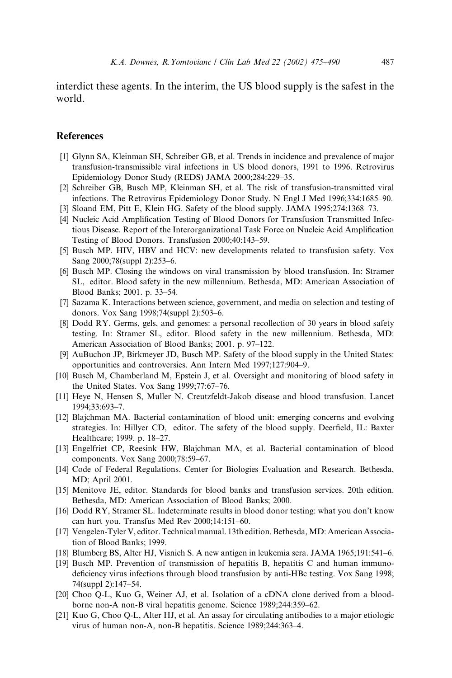interdict these agents. In the interim, the US blood supply is the safest in the world.

# **References**

- [1] Glynn SA, Kleinman SH, Schreiber GB, et al. Trends in incidence and prevalence of major transfusion-transmissible viral infections in US blood donors, 1991 to 1996. Retrovirus Epidemiology Donor Study (REDS) JAMA 2000;284:229–35.
- [2] Schreiber GB, Busch MP, Kleinman SH, et al. The risk of transfusion-transmitted viral infections. The Retrovirus Epidemiology Donor Study. N Engl J Med 1996;334:1685–90.
- [3] Sloand EM, Pitt E, Klein HG. Safety of the blood supply. JAMA 1995;274:1368–73.
- [4] Nucleic Acid Amplification Testing of Blood Donors for Transfusion Transmitted Infectious Disease. Report of the Interorganizational Task Force on Nucleic Acid Amplification Testing of Blood Donors. Transfusion 2000;40:143–59.
- [5] Busch MP. HIV, HBV and HCV: new developments related to transfusion safety. Vox Sang 2000;78(suppl 2):253–6.
- [6] Busch MP. Closing the windows on viral transmission by blood transfusion. In: Stramer SL, editor. Blood safety in the new millennium. Bethesda, MD: American Association of Blood Banks; 2001. p. 33–54.
- [7] Sazama K. Interactions between science, government, and media on selection and testing of donors. Vox Sang 1998;74(suppl 2):503–6.
- [8] Dodd RY. Germs, gels, and genomes: a personal recollection of 30 years in blood safety testing. In: Stramer SL, editor. Blood safety in the new millennium. Bethesda, MD: American Association of Blood Banks; 2001. p. 97–122.
- [9] AuBuchon JP, Birkmeyer JD, Busch MP. Safety of the blood supply in the United States: opportunities and controversies. Ann Intern Med 1997;127:904–9.
- [10] Busch M, Chamberland M, Epstein J, et al. Oversight and monitoring of blood safety in the United States. Vox Sang 1999;77:67–76.
- [11] Heye N, Hensen S, Muller N. Creutzfeldt-Jakob disease and blood transfusion. Lancet 1994;33:693–7.
- [12] Blajchman MA. Bacterial contamination of blood unit: emerging concerns and evolving strategies. In: Hillyer CD, editor. The safety of the blood supply. Deerfield, IL: Baxter Healthcare; 1999. p. 18–27.
- [13] Engelfriet CP, Reesink HW, Blajchman MA, et al. Bacterial contamination of blood components. Vox Sang 2000;78:59–67.
- [14] Code of Federal Regulations. Center for Biologies Evaluation and Research. Bethesda, MD; April 2001.
- [15] Menitove JE, editor. Standards for blood banks and transfusion services. 20th edition. Bethesda, MD: American Association of Blood Banks; 2000.
- [16] Dodd RY, Stramer SL. Indeterminate results in blood donor testing: what you don't know can hurt you. Transfus Med Rev 2000;14:151–60.
- [17] Vengelen-Tyler V, editor. Technical manual. 13th edition. Bethesda, MD: American Association of Blood Banks; 1999.
- [18] Blumberg BS, Alter HJ, Visnich S. A new antigen in leukemia sera. JAMA 1965;191:541–6.
- [19] Busch MP. Prevention of transmission of hepatitis B, hepatitis C and human immunodeficiency virus infections through blood transfusion by anti-HBc testing. Vox Sang 1998; 74(suppl 2):147–54.
- [20] Choo Q-L, Kuo G, Weiner AJ, et al. Isolation of a cDNA clone derived from a bloodborne non-A non-B viral hepatitis genome. Science 1989;244:359–62.
- [21] Kuo G, Choo Q-L, Alter HJ, et al. An assay for circulating antibodies to a major etiologic virus of human non-A, non-B hepatitis. Science 1989;244:363–4.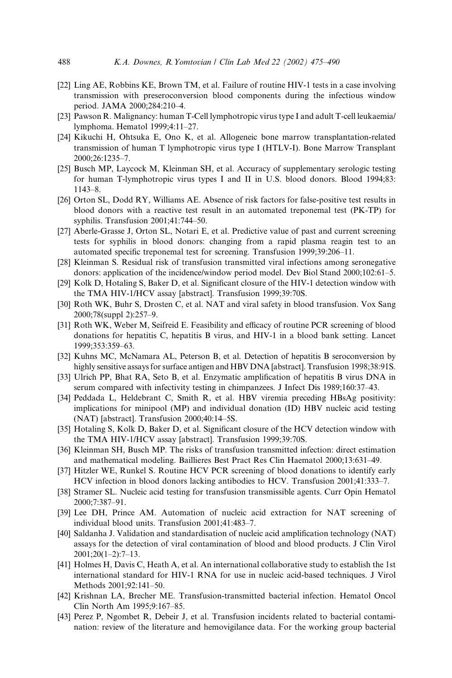- [22] Ling AE, Robbins KE, Brown TM, et al. Failure of routine HIV-1 tests in a case involving transmission with preseroconversion blood components during the infectious window period. JAMA 2000;284:210–4.
- [23] Pawson R. Malignancy: human T-Cell lymphotropic virus type I and adult T-cell leukaemia/ lymphoma. Hematol 1999;4:11–27.
- [24] Kikuchi H, Ohtsuka E, Ono K, et al. Allogeneic bone marrow transplantation-related transmission of human T lymphotropic virus type I (HTLV-I). Bone Marrow Transplant 2000;26:1235–7.
- [25] Busch MP, Laycock M, Kleinman SH, et al. Accuracy of supplementary serologic testing for human T-lymphotropic virus types I and II in U.S. blood donors. Blood 1994;83: 1143–8.
- [26] Orton SL, Dodd RY, Williams AE. Absence of risk factors for false-positive test results in blood donors with a reactive test result in an automated treponemal test (PK-TP) for syphilis. Transfusion 2001;41:744–50.
- [27] Aberle-Grasse J, Orton SL, Notari E, et al. Predictive value of past and current screening tests for syphilis in blood donors: changing from a rapid plasma reagin test to an automated specific treponemal test for screening. Transfusion 1999;39:206–11.
- [28] Kleinman S. Residual risk of transfusion transmitted viral infections among seronegative donors: application of the incidence/window period model. Dev Biol Stand 2000;102:61–5.
- [29] Kolk D, Hotaling S, Baker D, et al. Significant closure of the HIV-1 detection window with the TMA HIV-1/HCV assay [abstract]. Transfusion 1999;39:70S.
- [30] Roth WK, Buhr S, Drosten C, et al. NAT and viral safety in blood transfusion. Vox Sang 2000;78(suppl 2):257–9.
- [31] Roth WK, Weber M, Seifreid E. Feasibility and efficacy of routine PCR screening of blood donations for hepatitis C, hepatitis B virus, and HIV-1 in a blood bank setting. Lancet 1999;353:359–63.
- [32] Kuhns MC, McNamara AL, Peterson B, et al. Detection of hepatitis B seroconversion by highly sensitive assays for surface antigen and HBV DNA [abstract]. Transfusion 1998;38:91S.
- [33] Ulrich PP, Bhat RA, Seto B, et al. Enzymatic amplification of hepatitis B virus DNA in serum compared with infectivity testing in chimpanzees. J Infect Dis 1989;160:37–43.
- [34] Peddada L, Heldebrant C, Smith R, et al. HBV viremia preceding HBsAg positivity: implications for minipool (MP) and individual donation (ID) HBV nucleic acid testing (NAT) [abstract]. Transfusion 2000;40:14–5S.
- [35] Hotaling S, Kolk D, Baker D, et al. Significant closure of the HCV detection window with the TMA HIV-1/HCV assay [abstract]. Transfusion 1999;39:70S.
- [36] Kleinman SH, Busch MP. The risks of transfusion transmitted infection: direct estimation and mathematical modeling. Baillieres Best Pract Res Clin Haematol 2000;13:631–49.
- [37] Hitzler WE, Runkel S. Routine HCV PCR screening of blood donations to identify early HCV infection in blood donors lacking antibodies to HCV. Transfusion 2001;41:333–7.
- [38] Stramer SL. Nucleic acid testing for transfusion transmissible agents. Curr Opin Hematol 2000;7:387–91.
- [39] Lee DH, Prince AM. Automation of nucleic acid extraction for NAT screening of individual blood units. Transfusion 2001;41:483–7.
- [40] Saldanha J. Validation and standardisation of nucleic acid amplification technology (NAT) assays for the detection of viral contamination of blood and blood products. J Clin Virol 2001;20(1–2):7–13.
- [41] Holmes H, Davis C, Heath A, et al. An international collaborative study to establish the 1st international standard for HIV-1 RNA for use in nucleic acid-based techniques. J Virol Methods 2001;92:141–50.
- [42] Krishnan LA, Brecher ME. Transfusion-transmitted bacterial infection. Hematol Oncol Clin North Am 1995;9:167–85.
- [43] Perez P, Ngombet R, Debeir J, et al. Transfusion incidents related to bacterial contamination: review of the literature and hemovigilance data. For the working group bacterial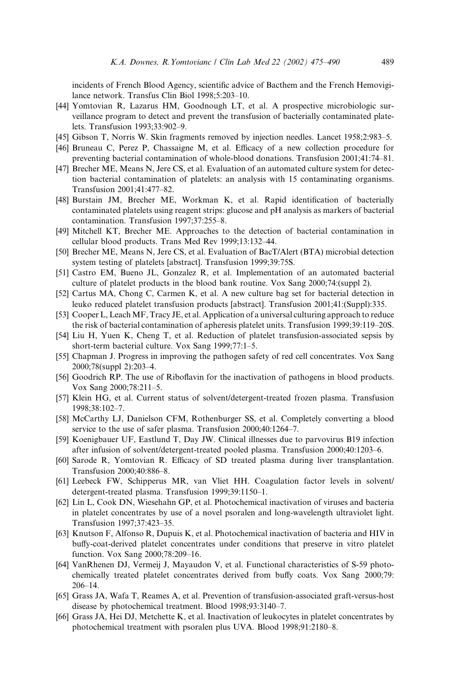incidents of French Blood Agency, scientific advice of Bacthem and the French Hemovigilance network. Transfus Clin Biol 1998;5:203–10.

- [44] Yomtovian R, Lazarus HM, Goodnough LT, et al. A prospective microbiologic surveillance program to detect and prevent the transfusion of bacterially contaminated platelets. Transfusion 1993;33:902–9.
- [45] Gibson T, Norris W. Skin fragments removed by injection needles. Lancet 1958;2:983–5.
- [46] Bruneau C, Perez P, Chassaigne M, et al. Efficacy of a new collection procedure for preventing bacterial contamination of whole-blood donations. Transfusion 2001;41:74–81.
- [47] Brecher ME, Means N, Jere CS, et al. Evaluation of an automated culture system for detection bacterial contamination of platelets: an analysis with 15 contaminating organisms. Transfusion 2001;41:477–82.
- [48] Burstain JM, Brecher ME, Workman K, et al. Rapid identification of bacterially contaminated platelets using reagent strips: glucose and pH analysis as markers of bacterial contamination. Transfusion 1997;37:255–8.
- [49] Mitchell KT, Brecher ME. Approaches to the detection of bacterial contamination in cellular blood products. Trans Med Rev 1999;13:132–44.
- [50] Brecher ME, Means N, Jere CS, et al. Evaluation of BacT/Alert (BTA) microbial detection system testing of platelets [abstract]. Transfusion 1999;39:75S.
- [51] Castro EM, Bueno JL, Gonzalez R, et al. Implementation of an automated bacterial culture of platelet products in the blood bank routine. Vox Sang 2000;74:(suppl 2).
- [52] Cartus MA, Chong C, Carmen K, et al. A new culture bag set for bacterial detection in leuko reduced platelet transfusion products [abstract]. Transfusion 2001;41:(Suppl):335.
- [53] Cooper L, LeachMF, Tracy JE, et al. Application of a universal culturing approach to reduce the risk of bacterial contamination of apheresis platelet units. Transfusion 1999;39:119–20S.
- [54] Liu H, Yuen K, Cheng T, et al. Reduction of platelet transfusion-associated sepsis by short-term bacterial culture. Vox Sang 1999;77:1–5.
- [55] Chapman J. Progress in improving the pathogen safety of red cell concentrates. Vox Sang 2000;78(suppl 2):203–4.
- [56] Goodrich RP. The use of Riboflavin for the inactivation of pathogens in blood products. Vox Sang 2000;78:211–5.
- [57] Klein HG, et al. Current status of solvent/detergent-treated frozen plasma. Transfusion 1998;38:102–7.
- [58] McCarthy LJ, Danielson CFM, Rothenburger SS, et al. Completely converting a blood service to the use of safer plasma. Transfusion 2000;40:1264–7.
- [59] Koenigbauer UF, Eastlund T, Day JW. Clinical illnesses due to parvovirus B19 infection after infusion of solvent/detergent-treated pooled plasma. Transfusion 2000;40:1203–6.
- [60] Sarode R, Yomtovian R. Efficacy of SD treated plasma during liver transplantation. Transfusion 2000;40:886–8.
- [61] Leebeck FW, Schipperus MR, van Vliet HH. Coagulation factor levels in solvent/ detergent-treated plasma. Transfusion 1999;39:1150–1.
- [62] Lin L, Cook DN, Wiesehahn GP, et al. Photochemical inactivation of viruses and bacteria in platelet concentrates by use of a novel psoralen and long-wavelength ultraviolet light. Transfusion 1997;37:423–35.
- [63] Knutson F, Alfonso R, Dupuis K, et al. Photochemical inactivation of bacteria and HIV in buffy-coat-derived platelet concentrates under conditions that preserve in vitro platelet function. Vox Sang 2000;78:209–16.
- [64] VanRhenen DJ, Vermeij J, Mayaudon V, et al. Functional characteristics of S-59 photochemically treated platelet concentrates derived from buffy coats. Vox Sang 2000;79: 206–14.
- [65] Grass JA, Wafa T, Reames A, et al. Prevention of transfusion-associated graft-versus-host disease by photochemical treatment. Blood 1998;93:3140–7.
- [66] Grass JA, Hei DJ, Metchette K, et al. Inactivation of leukocytes in platelet concentrates by photochemical treatment with psoralen plus UVA. Blood 1998;91:2180–8.